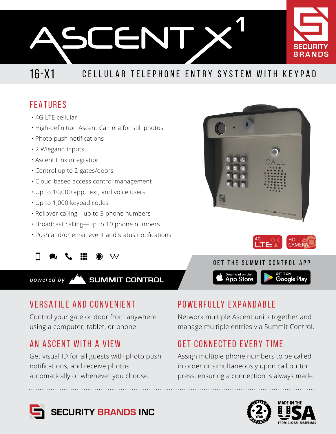

## 16-X1 CELLULAR TELEPHONE ENTRY SYSTEM WITH KEYPAD

### FEATURES

- 4G LTE cellular
- High-definition Ascent Camera for still photos
- Photo push notifications
- 2 Wiegand inputs
- Ascent Link integration
- Control up to 2 gates/doors
- Cloud-based access control management
- Up to 10,000 app, text, and voice users
- Up to 1,000 keypad codes
- Rollover calling—up to 3 phone numbers
- Broadcast calling—up to 10 phone numbers
- Push and/or email event and status notifications

 $\mathcal{M}$ 

**SUMMIT CONTROL** powered by

## VERSATILE AND CONVENIENT

Control your gate or door from anywhere using a computer, tablet, or phone.

## AN ASCENT WITH A VIEW

Get visual ID for all guests with photo push notifications, and receive photos automatically or whenever you choose.

## POWERFULLY EXPANDABLE

Network multiple Ascent units together and manage multiple entries via Summit Control.

Download on the<br>App Store

## GET CONNECTED EVERY TIME

Assign multiple phone numbers to be called in order or simultaneously upon call button press, ensuring a connection is always made.









Google Play

GET THE SUMMIT CONTROL APP